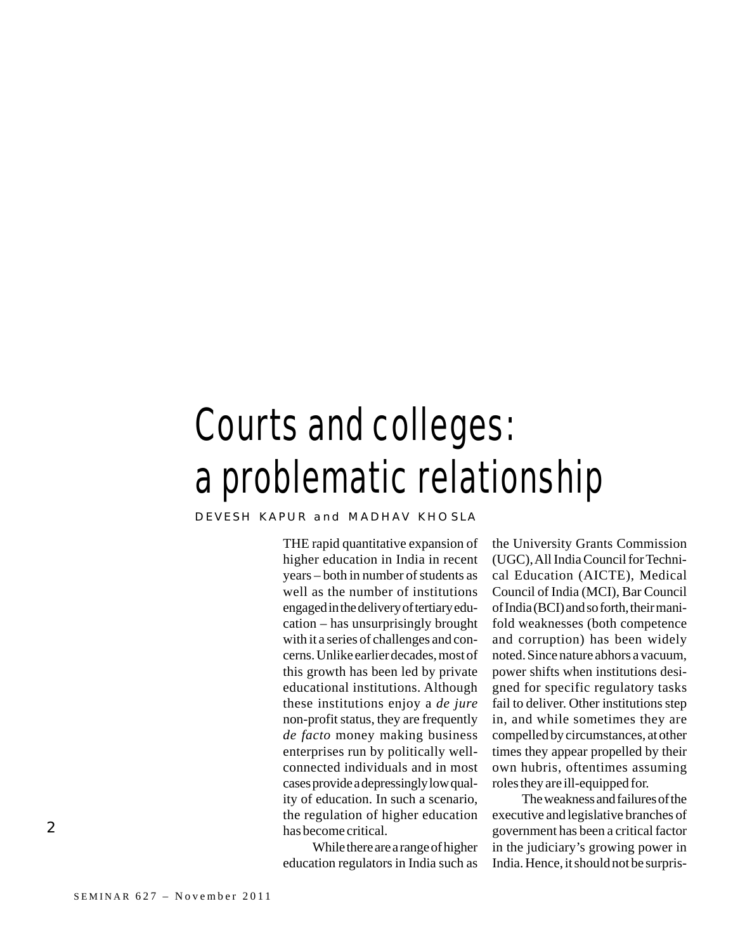## Courts and colleges: a problematic relationship

DEVESH KAPUR and MADHAV KHOSLA

THE rapid quantitative expansion of higher education in India in recent years – both in number of students as well as the number of institutions engaged in the delivery of tertiary education – has unsurprisingly brought with it a series of challenges and concerns. Unlike earlier decades, most of this growth has been led by private educational institutions. Although these institutions enjoy a *de jure* non-profit status, they are frequently *de facto* money making business enterprises run by politically wellconnected individuals and in most cases provide a depressingly low quality of education. In such a scenario, the regulation of higher education has become critical.

While there are a range of higher education regulators in India such as the University Grants Commission (UGC), All India Council for Technical Education (AICTE), Medical Council of India (MCI), Bar Council of India (BCI) and so forth, their manifold weaknesses (both competence and corruption) has been widely noted. Since nature abhors a vacuum, power shifts when institutions designed for specific regulatory tasks fail to deliver. Other institutions step in, and while sometimes they are compelled by circumstances, at other times they appear propelled by their own hubris, oftentimes assuming roles they are ill-equipped for.

The weakness and failures of the executive and legislative branches of government has been a critical factor in the judiciary's growing power in India. Hence, it should not be surpris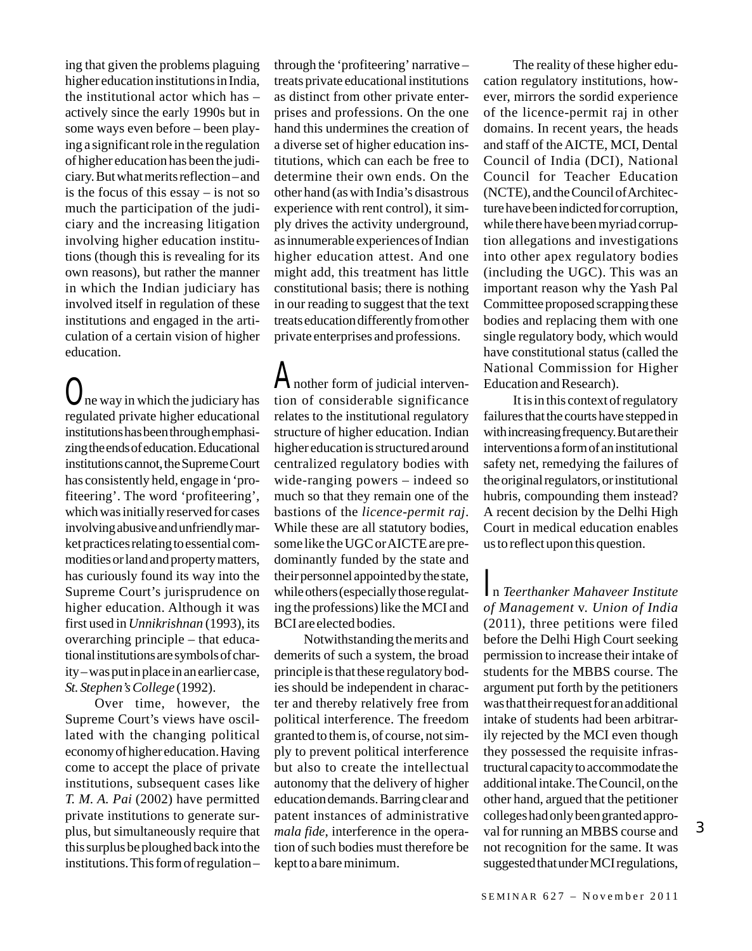ing that given the problems plaguing higher education institutions in India, the institutional actor which has – actively since the early 1990s but in some ways even before – been playing a significant role in the regulation of higher education has been the judiciary. But what merits reflection – and is the focus of this essay – is not so much the participation of the judiciary and the increasing litigation involving higher education institutions (though this is revealing for its own reasons), but rather the manner in which the Indian judiciary has involved itself in regulation of these institutions and engaged in the articulation of a certain vision of higher education.

 $\bigcup$ ne way in which the judiciary has regulated private higher educational institutions has been through emphasizing the ends of education. Educational institutions cannot, the Supreme Court has consistently held, engage in 'profiteering'. The word 'profiteering', which was initially reserved for cases involving abusive and unfriendly market practices relating to essential commodities or land and property matters, has curiously found its way into the Supreme Court's jurisprudence on higher education. Although it was first used in *Unnikrishnan* (1993), its overarching principle – that educational institutions are symbols of charity – was put in place in an earlier case, *St. Stephen's College* (1992).

Over time, however, the Supreme Court's views have oscillated with the changing political economy of higher education. Having come to accept the place of private institutions, subsequent cases like *T. M. A. Pai* (2002) have permitted private institutions to generate surplus, but simultaneously require that this surplus be ploughed back into the institutions. This form of regulation –

through the 'profiteering' narrative – treats private educational institutions as distinct from other private enterprises and professions. On the one hand this undermines the creation of a diverse set of higher education institutions, which can each be free to determine their own ends. On the other hand (as with India's disastrous experience with rent control), it simply drives the activity underground, as innumerable experiences of Indian higher education attest. And one might add, this treatment has little constitutional basis; there is nothing in our reading to suggest that the text treats education differently from other private enterprises and professions.

Another form of judicial intervention of considerable significance relates to the institutional regulatory structure of higher education. Indian higher education is structured around centralized regulatory bodies with wide-ranging powers – indeed so much so that they remain one of the bastions of the *licence-permit raj*. While these are all statutory bodies, some like the UGC or AICTE are predominantly funded by the state and their personnel appointed by the state, while others (especially those regulating the professions) like the MCI and BCI are elected bodies.

Notwithstanding the merits and demerits of such a system, the broad principle is that these regulatory bodies should be independent in character and thereby relatively free from political interference. The freedom granted to them is, of course, not simply to prevent political interference but also to create the intellectual autonomy that the delivery of higher education demands. Barring clear and patent instances of administrative *mala fide*, interference in the operation of such bodies must therefore be kept to a bare minimum.

The reality of these higher education regulatory institutions, however, mirrors the sordid experience of the licence-permit raj in other domains. In recent years, the heads and staff of the AICTE, MCI, Dental Council of India (DCI), National Council for Teacher Education (NCTE), and the Council of Architecture have been indicted for corruption, while there have been myriad corruption allegations and investigations into other apex regulatory bodies (including the UGC). This was an important reason why the Yash Pal Committee proposed scrapping these bodies and replacing them with one single regulatory body, which would have constitutional status (called the National Commission for Higher Education and Research).

It is in this context of regulatory failures that the courts have stepped in with increasing frequency. But are their interventions a form of an institutional safety net, remedying the failures of the original regulators, or institutional hubris, compounding them instead? A recent decision by the Delhi High Court in medical education enables us to reflect upon this question.

In *Teerthanker Mahaveer Institute of Management* v. *Union of India* (2011), three petitions were filed before the Delhi High Court seeking permission to increase their intake of students for the MBBS course. The argument put forth by the petitioners was that their request for an additional intake of students had been arbitrarily rejected by the MCI even though they possessed the requisite infrastructural capacity to accommodate the additional intake. The Council, on the other hand, argued that the petitioner colleges had only been granted approval for running an MBBS course and not recognition for the same. It was suggested that under MCI regulations,

3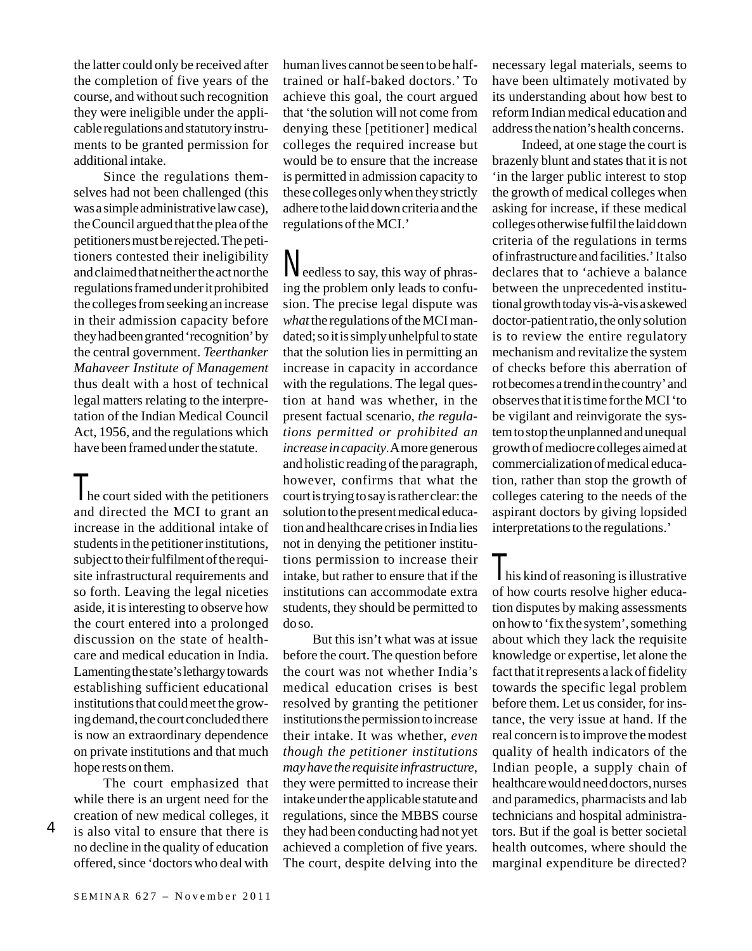the latter could only be received after the completion of five years of the course, and without such recognition they were ineligible under the applicable regulations and statutory instruments to be granted permission for additional intake.

Since the regulations themselves had not been challenged (this was a simple administrative law case), the Council argued that the plea of the petitioners must be rejected. The petitioners contested their ineligibility and claimed that neither the act nor the regulations framed under it prohibited the colleges from seeking an increase in their admission capacity before they had been granted 'recognition' by the central government. *Teerthanker Mahaveer Institute of Management* thus dealt with a host of technical legal matters relating to the interpretation of the Indian Medical Council Act, 1956, and the regulations which have been framed under the statute.

In ecourt sided with the petitioners and directed the MCI to grant an increase in the additional intake of students in the petitioner institutions, subject to their fulfilment of the requisite infrastructural requirements and so forth. Leaving the legal niceties aside, it is interesting to observe how the court entered into a prolonged discussion on the state of healthcare and medical education in India. Lamenting the state's lethargy towards establishing sufficient educational institutions that could meet the growing demand, the court concluded there is now an extraordinary dependence on private institutions and that much hope rests on them.

The court emphasized that while there is an urgent need for the creation of new medical colleges, it is also vital to ensure that there is no decline in the quality of education offered, since 'doctors who deal with

4

human lives cannot be seen to be halftrained or half-baked doctors.' To achieve this goal, the court argued that 'the solution will not come from denying these [petitioner] medical colleges the required increase but would be to ensure that the increase is permitted in admission capacity to these colleges only when they strictly adhere to the laid down criteria and the regulations of the MCI.'

Needless to say, this way of phrasing the problem only leads to confusion. The precise legal dispute was *what* the regulations of the MCI mandated; so it is simply unhelpful to state that the solution lies in permitting an increase in capacity in accordance with the regulations. The legal question at hand was whether, in the present factual scenario, *the regulations permitted or prohibited an increase in capacity*. A more generous and holistic reading of the paragraph, however, confirms that what the court is trying to say is rather clear: the solution to the present medical education and healthcare crises in India lies not in denying the petitioner institutions permission to increase their intake, but rather to ensure that if the institutions can accommodate extra students, they should be permitted to do so.

But this isn't what was at issue before the court. The question before the court was not whether India's medical education crises is best resolved by granting the petitioner institutions the permission to increase their intake. It was whether, *even though the petitioner institutions may have the requisite infrastructure*, they were permitted to increase their intake under the applicable statute and regulations, since the MBBS course they had been conducting had not yet achieved a completion of five years. The court, despite delving into the necessary legal materials, seems to have been ultimately motivated by its understanding about how best to reform Indian medical education and address the nation's health concerns.

Indeed, at one stage the court is brazenly blunt and states that it is not 'in the larger public interest to stop the growth of medical colleges when asking for increase, if these medical colleges otherwise fulfil the laid down criteria of the regulations in terms of infrastructure and facilities.' It also declares that to 'achieve a balance between the unprecedented institutional growth today vis-à-vis a skewed doctor-patient ratio, the only solution is to review the entire regulatory mechanism and revitalize the system of checks before this aberration of rot becomes a trend in the country' and observes that it is time for the MCI 'to be vigilant and reinvigorate the system to stop the unplanned and unequal growth of mediocre colleges aimed at commercialization of medical education, rather than stop the growth of colleges catering to the needs of the aspirant doctors by giving lopsided interpretations to the regulations.'

his kind of reasoning is illustrative of how courts resolve higher education disputes by making assessments on how to 'fix the system', something about which they lack the requisite knowledge or expertise, let alone the fact that it represents a lack of fidelity towards the specific legal problem before them. Let us consider, for instance, the very issue at hand. If the real concern is to improve the modest quality of health indicators of the Indian people, a supply chain of healthcare would need doctors, nurses and paramedics, pharmacists and lab technicians and hospital administrators. But if the goal is better societal health outcomes, where should the marginal expenditure be directed?